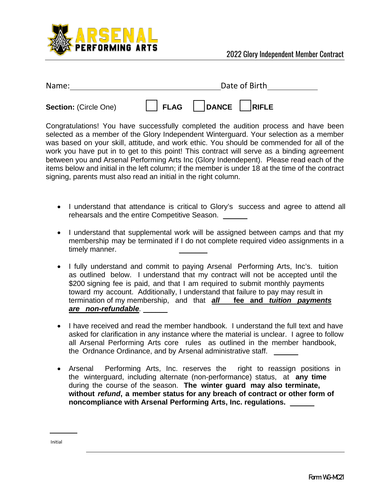

| Name:                        | Date of Birth                     |  |
|------------------------------|-----------------------------------|--|
| <b>Section: (Circle One)</b> | $\Box$ DANCE $\Box$ RIFLE<br>FLAG |  |

Congratulations! You have successfully completed the audition process and have been selected as a member of the Glory Independent Winterguard. Your selection as a member was based on your skill, attitude, and work ethic. You should be commended for all of the work you have put in to get to this point! This contract will serve as a binding agreement between you and Arsenal Performing Arts Inc (Glory Indendepent). Please read each of the items below and initial in the left column; if the member is under 18 at the time of the contract signing, parents must also read an initial in the right column.

- I understand that attendance is critical to Glory's success and agree to attend all rehearsals and the entire Competitive Season.
- I understand that supplemental work will be assigned between camps and that my membership may be terminated if I do not complete required video assignments in a timely manner.
- I fully understand and commit to paying Arsenal Performing Arts, Inc's. tuition as outlined below. I understand that my contract will not be accepted until the \$200 signing fee is paid, and that I am required to submit monthly payments toward my account. Additionally, I understand that failure to pay may result in termination of my membership, and that *all* **fee and** *tuition payments are non-refundable.* \_\_\_\_\_\_
- I have received and read the member handbook. I understand the full text and have asked for clarification in any instance where the material is unclear. I agree to follow all Arsenal Performing Arts core rules as outlined in the member handbook, the Ordnance Ordinance, and by Arsenal administrative staff. \_\_\_\_\_
- Arsenal Performing Arts, Inc. reserves the right to reassign positions in the winterguard, including alternate (non-performance) status, at **any time** during the course of the season. **The winter guard may also terminate, without** *refund***, a member status for any breach of contract or other form of noncompliance with Arsenal Performing Arts, Inc. regulations.** \_\_\_\_\_\_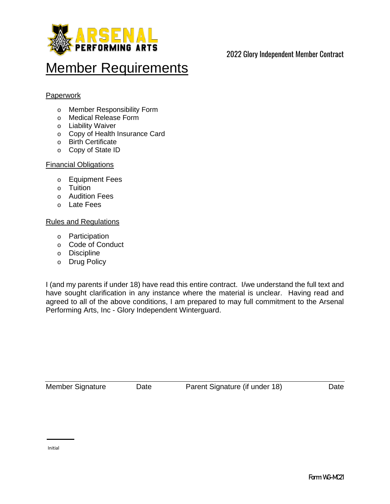

# 2022 Glory Independent Member Contract

# **Member Requirements**

### **Paperwork**

- o Member Responsibility Form
- o Medical Release Form
- o Liability Waiver
- o Copy of Health Insurance Card
- o Birth Certificate
- o Copy of State ID

#### Financial Obligations

- o Equipment Fees
- o Tuition
- o Audition Fees
- o Late Fees

#### Rules and Regulations

- o Participation
- o Code of Conduct
- o Discipline
- o Drug Policy

I (and my parents if under 18) have read this entire contract. I/we understand the full text and have sought clarification in any instance where the material is unclear. Having read and agreed to all of the above conditions, I am prepared to may full commitment to the Arsenal Performing Arts, Inc - Glory Independent Winterguard.

Member Signature Date Parent Signature (if under 18) Date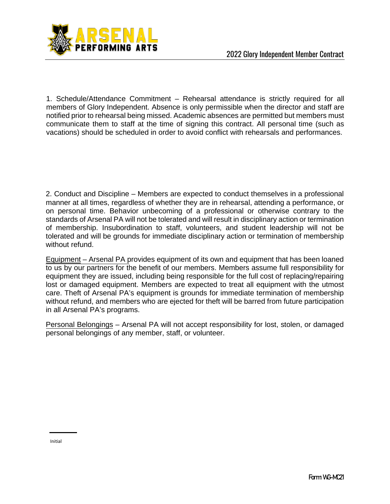

1. Schedule/Attendance Commitment – Rehearsal attendance is strictly required for all members of Glory Independent. Absence is only permissible when the director and staff are notified prior to rehearsal being missed. Academic absences are permitted but members must communicate them to staff at the time of signing this contract. All personal time (such as vacations) should be scheduled in order to avoid conflict with rehearsals and performances.

2. Conduct and Discipline – Members are expected to conduct themselves in a professional manner at all times, regardless of whether they are in rehearsal, attending a performance, or on personal time. Behavior unbecoming of a professional or otherwise contrary to the standards of Arsenal PA will not be tolerated and will result in disciplinary action or termination of membership. Insubordination to staff, volunteers, and student leadership will not be tolerated and will be grounds for immediate disciplinary action or termination of membership without refund.

Equipment – Arsenal PA provides equipment of its own and equipment that has been loaned to us by our partners for the benefit of our members. Members assume full responsibility for equipment they are issued, including being responsible for the full cost of replacing/repairing lost or damaged equipment. Members are expected to treat all equipment with the utmost care. Theft of Arsenal PA's equipment is grounds for immediate termination of membership without refund, and members who are ejected for theft will be barred from future participation in all Arsenal PA's programs.

Personal Belongings – Arsenal PA will not accept responsibility for lost, stolen, or damaged personal belongings of any member, staff, or volunteer.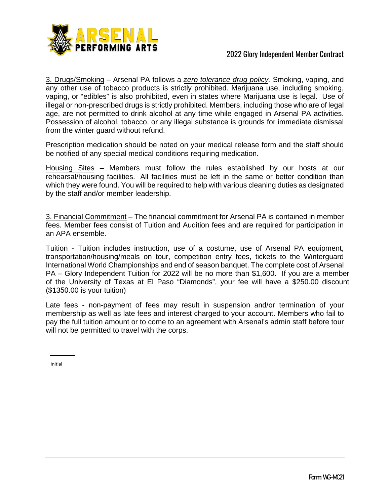

3. Drugs/Smoking – Arsenal PA follows a *zero tolerance drug policy.* Smoking, vaping, and any other use of tobacco products is strictly prohibited. Marijuana use, including smoking, vaping, or "edibles" is also prohibited, even in states where Marijuana use is legal. Use of illegal or non-prescribed drugs is strictly prohibited. Members, including those who are of legal age, are not permitted to drink alcohol at any time while engaged in Arsenal PA activities. Possession of alcohol, tobacco, or any illegal substance is grounds for immediate dismissal from the winter guard without refund.

Prescription medication should be noted on your medical release form and the staff should be notified of any special medical conditions requiring medication.

Housing Sites – Members must follow the rules established by our hosts at our rehearsal/housing facilities. All facilities must be left in the same or better condition than which they were found. You will be required to help with various cleaning duties as designated by the staff and/or member leadership.

3. Financial Commitment – The financial commitment for Arsenal PA is contained in member fees. Member fees consist of Tuition and Audition fees and are required for participation in an APA ensemble.

Tuition - Tuition includes instruction, use of a costume, use of Arsenal PA equipment, transportation/housing/meals on tour, competition entry fees, tickets to the Winterguard International World Championships and end of season banquet. The complete cost of Arsenal PA – Glory Independent Tuition for 2022 will be no more than \$1,600. If you are a member of the University of Texas at El Paso "Diamonds", your fee will have a \$250.00 discount (\$1350.00 is your tuition)

Late fees - non-payment of fees may result in suspension and/or termination of your membership as well as late fees and interest charged to your account. Members who fail to pay the full tuition amount or to come to an agreement with Arsenal's admin staff before tour will not be permitted to travel with the corps.